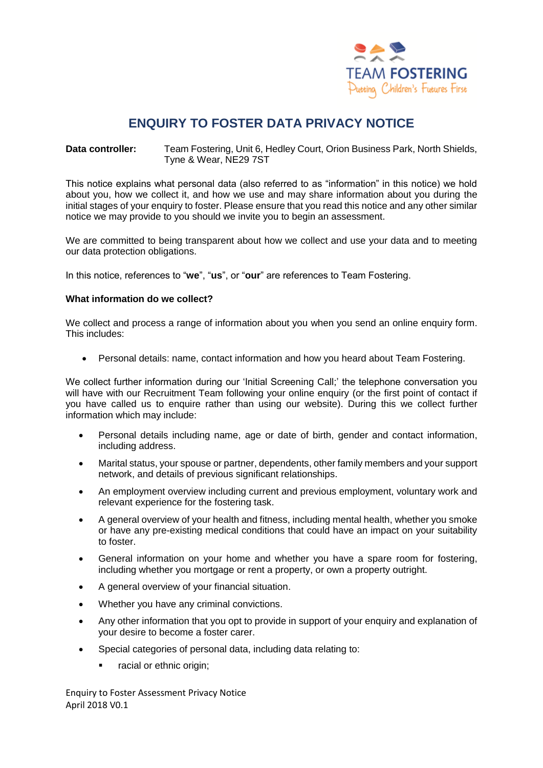

# **ENQUIRY TO FOSTER DATA PRIVACY NOTICE**

**Data controller:** Team Fostering, Unit 6, Hedley Court, Orion Business Park, North Shields, Tyne & Wear, NE29 7ST

This notice explains what personal data (also referred to as "information" in this notice) we hold about you, how we collect it, and how we use and may share information about you during the initial stages of your enquiry to foster. Please ensure that you read this notice and any other similar notice we may provide to you should we invite you to begin an assessment.

We are committed to being transparent about how we collect and use your data and to meeting our data protection obligations.

In this notice, references to "**we**", "**us**", or "**our**" are references to Team Fostering.

# **What information do we collect?**

We collect and process a range of information about you when you send an online enquiry form. This includes:

Personal details: name, contact information and how you heard about Team Fostering.

We collect further information during our 'Initial Screening Call;' the telephone conversation you will have with our Recruitment Team following your online enquiry (or the first point of contact if you have called us to enquire rather than using our website). During this we collect further information which may include:

- Personal details including name, age or date of birth, gender and contact information, including address.
- Marital status, your spouse or partner, dependents, other family members and your support network, and details of previous significant relationships.
- An employment overview including current and previous employment, voluntary work and relevant experience for the fostering task.
- A general overview of your health and fitness, including mental health, whether you smoke or have any pre-existing medical conditions that could have an impact on your suitability to foster.
- General information on your home and whether you have a spare room for fostering, including whether you mortgage or rent a property, or own a property outright.
- A general overview of your financial situation.
- Whether you have any criminal convictions.
- Any other information that you opt to provide in support of your enquiry and explanation of your desire to become a foster carer.
- Special categories of personal data, including data relating to:
	- racial or ethnic origin:

Enquiry to Foster Assessment Privacy Notice April 2018 V0.1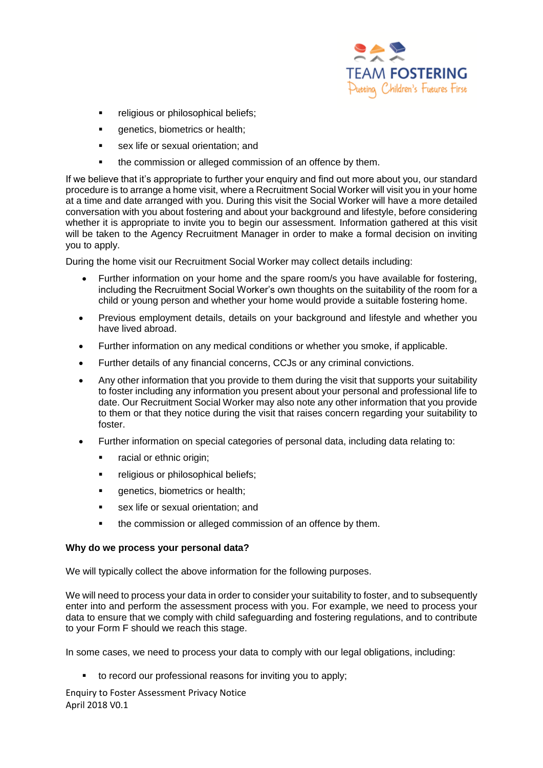

- religious or philosophical beliefs;
- genetics, biometrics or health;
- sex life or sexual orientation; and
- the commission or alleged commission of an offence by them.

If we believe that it's appropriate to further your enquiry and find out more about you, our standard procedure is to arrange a home visit, where a Recruitment Social Worker will visit you in your home at a time and date arranged with you. During this visit the Social Worker will have a more detailed conversation with you about fostering and about your background and lifestyle, before considering whether it is appropriate to invite you to begin our assessment. Information gathered at this visit will be taken to the Agency Recruitment Manager in order to make a formal decision on inviting you to apply.

During the home visit our Recruitment Social Worker may collect details including:

- Further information on your home and the spare room/s you have available for fostering, including the Recruitment Social Worker's own thoughts on the suitability of the room for a child or young person and whether your home would provide a suitable fostering home.
- Previous employment details, details on your background and lifestyle and whether you have lived abroad.
- Further information on any medical conditions or whether you smoke, if applicable.
- Further details of any financial concerns, CCJs or any criminal convictions.
- Any other information that you provide to them during the visit that supports your suitability to foster including any information you present about your personal and professional life to date. Our Recruitment Social Worker may also note any other information that you provide to them or that they notice during the visit that raises concern regarding your suitability to foster.
- Further information on special categories of personal data, including data relating to:
	- **•** racial or ethnic origin:
	- **Figure 1** religious or philosophical beliefs;
	- **quenetics, biometrics or health;**
	- sex life or sexual orientation; and
	- the commission or alleged commission of an offence by them.

# **Why do we process your personal data?**

We will typically collect the above information for the following purposes.

We will need to process your data in order to consider your suitability to foster, and to subsequently enter into and perform the assessment process with you. For example, we need to process your data to ensure that we comply with child safeguarding and fostering regulations, and to contribute to your Form F should we reach this stage.

In some cases, we need to process your data to comply with our legal obligations, including:

to record our professional reasons for inviting you to apply;

Enquiry to Foster Assessment Privacy Notice April 2018 V0.1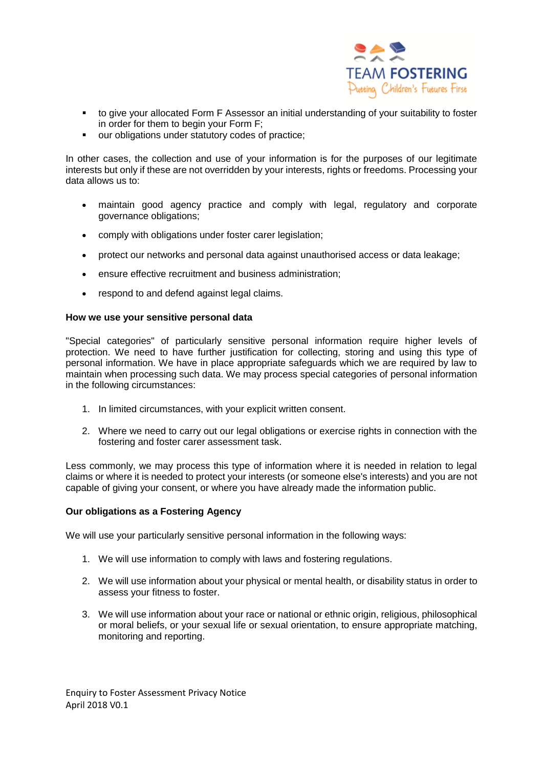

- to give your allocated Form F Assessor an initial understanding of your suitability to foster in order for them to begin your Form F;
- our obligations under statutory codes of practice;

In other cases, the collection and use of your information is for the purposes of our legitimate interests but only if these are not overridden by your interests, rights or freedoms. Processing your data allows us to:

- maintain good agency practice and comply with legal, regulatory and corporate governance obligations;
- comply with obligations under foster carer legislation;
- protect our networks and personal data against unauthorised access or data leakage;
- ensure effective recruitment and business administration;
- respond to and defend against legal claims.

## **How we use your sensitive personal data**

"Special categories" of particularly sensitive personal information require higher levels of protection. We need to have further justification for collecting, storing and using this type of personal information. We have in place appropriate safeguards which we are required by law to maintain when processing such data. We may process special categories of personal information in the following circumstances:

- 1. In limited circumstances, with your explicit written consent.
- 2. Where we need to carry out our legal obligations or exercise rights in connection with the fostering and foster carer assessment task.

Less commonly, we may process this type of information where it is needed in relation to legal claims or where it is needed to protect your interests (or someone else's interests) and you are not capable of giving your consent, or where you have already made the information public.

# **Our obligations as a Fostering Agency**

We will use your particularly sensitive personal information in the following ways:

- 1. We will use information to comply with laws and fostering regulations.
- 2. We will use information about your physical or mental health, or disability status in order to assess your fitness to foster.
- 3. We will use information about your race or national or ethnic origin, religious, philosophical or moral beliefs, or your sexual life or sexual orientation, to ensure appropriate matching, monitoring and reporting.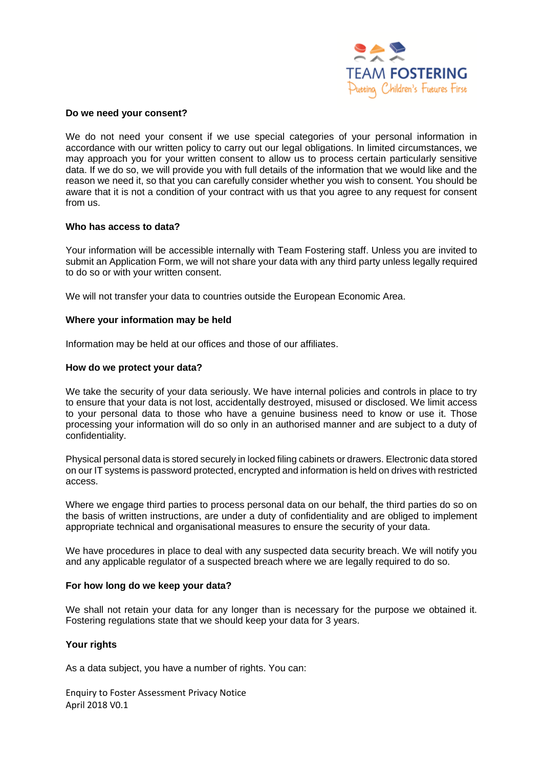

#### **Do we need your consent?**

We do not need your consent if we use special categories of your personal information in accordance with our written policy to carry out our legal obligations. In limited circumstances, we may approach you for your written consent to allow us to process certain particularly sensitive data. If we do so, we will provide you with full details of the information that we would like and the reason we need it, so that you can carefully consider whether you wish to consent. You should be aware that it is not a condition of your contract with us that you agree to any request for consent from us.

## **Who has access to data?**

Your information will be accessible internally with Team Fostering staff. Unless you are invited to submit an Application Form, we will not share your data with any third party unless legally required to do so or with your written consent.

We will not transfer your data to countries outside the European Economic Area.

## **Where your information may be held**

Information may be held at our offices and those of our affiliates.

## **How do we protect your data?**

We take the security of your data seriously. We have internal policies and controls in place to try to ensure that your data is not lost, accidentally destroyed, misused or disclosed. We limit access to your personal data to those who have a genuine business need to know or use it. Those processing your information will do so only in an authorised manner and are subject to a duty of confidentiality.

Physical personal data is stored securely in locked filing cabinets or drawers. Electronic data stored on our IT systems is password protected, encrypted and information is held on drives with restricted access.

Where we engage third parties to process personal data on our behalf, the third parties do so on the basis of written instructions, are under a duty of confidentiality and are obliged to implement appropriate technical and organisational measures to ensure the security of your data.

We have procedures in place to deal with any suspected data security breach. We will notify you and any applicable regulator of a suspected breach where we are legally required to do so.

#### **For how long do we keep your data?**

We shall not retain your data for any longer than is necessary for the purpose we obtained it. Fostering regulations state that we should keep your data for 3 years.

# **Your rights**

As a data subject, you have a number of rights. You can:

Enquiry to Foster Assessment Privacy Notice April 2018 V0.1